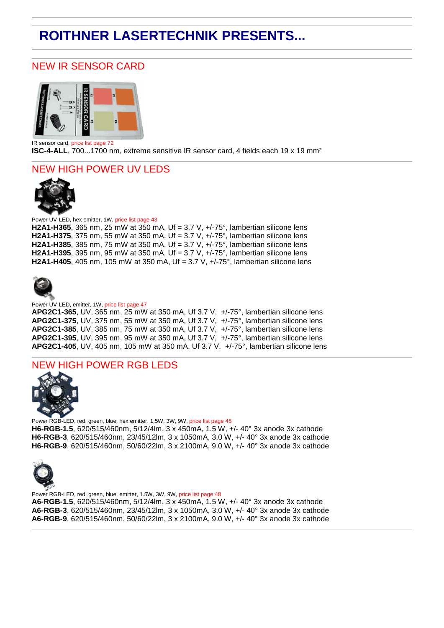# **ROITHNER LASERTECHNIK PRESENTS...**

## NEW IR SENSOR CARD



IR sensor card, price list page 72 **ISC-4-ALL**, 700...1700 nm, extreme sensitive IR sensor card, 4 fields each 19 x 19 mm<sup>2</sup>

### NEW HIGH POWER UV LEDS



Power UV-LED, hex emitter, 1W, price list page 43 **H2A1-H365**, 365 nm, 25 mW at 350 mA, Uf = 3.7 V, +/-75°, lambertian silicone lens **H2A1-H375**, 375 nm, 55 mW at 350 mA, Uf = 3.7 V, +/-75°, lambertian silicone lens **H2A1-H385**, 385 nm, 75 mW at 350 mA, Uf = 3.7 V, +/-75°, lambertian silicone lens **H2A1-H395**, 395 nm, 95 mW at 350 mA, Uf = 3.7 V, +/-75°, lambertian silicone lens **H2A1-H405**, 405 nm, 105 mW at 350 mA, Uf = 3.7 V, +/-75°, lambertian silicone lens



#### Power UV-LED, emitter, 1W, price list page 47

**APG2C1-365**, UV, 365 nm, 25 mW at 350 mA, Uf 3.7 V, +/-75°, lambertian silicone lens **APG2C1-375**, UV, 375 nm, 55 mW at 350 mA, Uf 3.7 V, +/-75°, lambertian silicone lens **APG2C1-385**, UV, 385 nm, 75 mW at 350 mA, Uf 3.7 V, +/-75°, lambertian silicone lens **APG2C1-395**, UV, 395 nm, 95 mW at 350 mA, Uf 3.7 V, +/-75°, lambertian silicone lens **APG2C1-405**, UV, 405 nm, 105 mW at 350 mA, Uf 3.7 V, +/-75°, lambertian silicone lens

### NEW HIGH POWER RGB LEDS



Power RGB-LED, red, green, blue, hex emitter, 1.5W, 3W, 9W, price list page 48 **H6-RGB-1.5**, 620/515/460nm, 5/12/4lm, 3 x 450mA, 1.5 W, +/- 40° 3x anode 3x cathode **H6-RGB-3**, 620/515/460nm, 23/45/12lm, 3 x 1050mA, 3.0 W, +/- 40° 3x anode 3x cathode **H6-RGB-9**, 620/515/460nm, 50/60/22lm, 3 x 2100mA, 9.0 W, +/- 40° 3x anode 3x cathode



Power RGB-LED, red, green, blue, emitter, 1.5W, 3W, 9W, price list page 48 **A6-RGB-1.5**, 620/515/460nm, 5/12/4lm, 3 x 450mA, 1.5 W, +/- 40° 3x anode 3x cathode **A6-RGB-3**, 620/515/460nm, 23/45/12lm, 3 x 1050mA, 3.0 W, +/- 40° 3x anode 3x cathode **A6-RGB-9**, 620/515/460nm, 50/60/22lm, 3 x 2100mA, 9.0 W, +/- 40° 3x anode 3x cathode